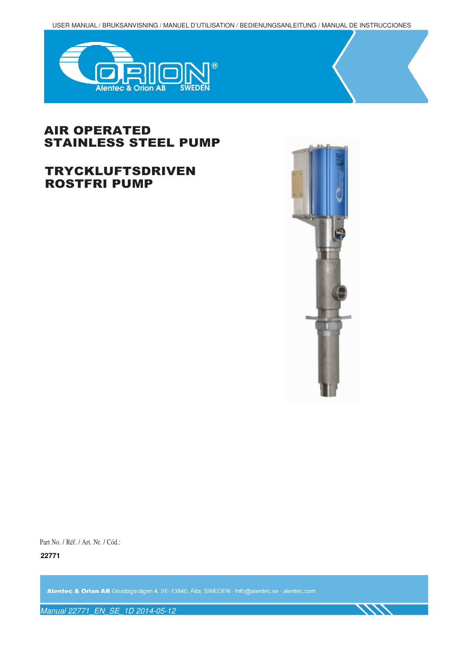USER MANUAL / BRUKSANVISNING / MANUEL D'UTILISATION / BEDIENUNGSANLEITUNG / MANUAL DE INSTRUCCIONES



# AIR OPERATED STAINLESS STEEL PUMP

# TRYCKLUFTSDRIVEN ROSTFRI PUMP



Part No. / Réf. / Art. Nr. / Cód.:

**22771** 

Alentec & Orion AB Grustagsvägen 4, SE-13840, Älta, SWEDEN · Info@alentec.se · alentec.com

Manual 22771\_EN\_SE\_1D 2014-05-12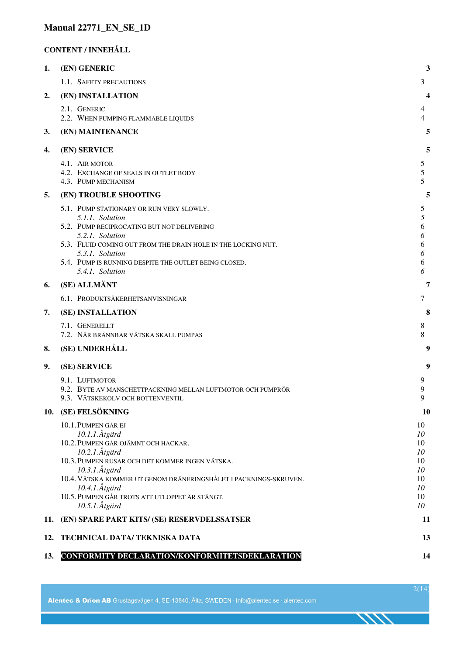## **Manual 22771\_EN\_SE\_1D**

#### **CONTENT / INNEHÅLL**

| 1.  | (EN) GENERIC                                                                                                                                                                                                                                                                                 | 3                                            |
|-----|----------------------------------------------------------------------------------------------------------------------------------------------------------------------------------------------------------------------------------------------------------------------------------------------|----------------------------------------------|
|     | 1.1. SAFETY PRECAUTIONS                                                                                                                                                                                                                                                                      | 3                                            |
| 2.  | (EN) INSTALLATION                                                                                                                                                                                                                                                                            | 4                                            |
|     | 2.1. GENERIC<br>2.2. WHEN PUMPING FLAMMABLE LIQUIDS                                                                                                                                                                                                                                          | 4<br>4                                       |
| 3.  | (EN) MAINTENANCE                                                                                                                                                                                                                                                                             | 5                                            |
| 4.  | (EN) SERVICE                                                                                                                                                                                                                                                                                 | 5                                            |
|     | 4.1. AIR MOTOR<br>4.2. EXCHANGE OF SEALS IN OUTLET BODY<br>4.3. PUMP MECHANISM                                                                                                                                                                                                               | 5<br>5<br>5                                  |
| 5.  | (EN) TROUBLE SHOOTING                                                                                                                                                                                                                                                                        | 5                                            |
|     | 5.1. PUMP STATIONARY OR RUN VERY SLOWLY.<br>5.1.1. Solution<br>5.2. PUMP RECIPROCATING BUT NOT DELIVERING<br>5.2.1. Solution<br>5.3. FLUID COMING OUT FROM THE DRAIN HOLE IN THE LOCKING NUT.<br>5.3.1. Solution<br>5.4. PUMP IS RUNNING DESPITE THE OUTLET BEING CLOSED.<br>5.4.1. Solution | 5<br>5<br>6<br>6<br>6<br>6<br>6<br>6         |
| 6.  | (SE) ALLMÄNT                                                                                                                                                                                                                                                                                 | 7                                            |
|     | 6.1. PRODUKTSÄKERHETSANVISNINGAR                                                                                                                                                                                                                                                             | 7                                            |
| 7.  | (SE) INSTALLATION                                                                                                                                                                                                                                                                            | 8                                            |
|     | 7.1. GENERELLT<br>7.2. NÄR BRÄNNBAR VÄTSKA SKALL PUMPAS                                                                                                                                                                                                                                      | 8<br>8                                       |
| 8.  | (SE) UNDERHÅLL                                                                                                                                                                                                                                                                               | 9                                            |
| 9.  | (SE) SERVICE                                                                                                                                                                                                                                                                                 | 9                                            |
|     | 9.1. LUFTMOTOR<br>9.2. BYTE AV MANSCHETTPACKNING MELLAN LUFTMOTOR OCH PUMPRÖR<br>9.3. VÄTSKEKOLV OCH BOTTENVENTIL                                                                                                                                                                            | 9<br>9<br>9                                  |
| 10. | (SE) FELSÖKNING                                                                                                                                                                                                                                                                              | 10                                           |
|     | 10.1. PUMPEN GÅR EJ<br>10.1.1.Åtgärd<br>10.2. PUMPEN GÅR OJÄMNT OCH HACKAR.<br>10.2.1.Åtgärd<br>10.3. PUMPEN RUSAR OCH DET KOMMER INGEN VÄTSKA.<br>10.3.1.Åtgärd<br>10.4. VÄTSKA KOMMER UT GENOM DRÄNERINGSHÅLET I PACKNINGS-SKRUVEN.<br>10.4.1.Åtgärd                                       | 10<br>10<br>10<br>10<br>10<br>10<br>10<br>10 |
|     | 10.5. PUMPEN GÅR TROTS ATT UTLOPPET ÄR STÄNGT.<br>$10.5.1$ . Åtgärd                                                                                                                                                                                                                          | 10<br>10                                     |
| 11. | (EN) SPARE PART KITS/ (SE) RESERVDELSSATSER                                                                                                                                                                                                                                                  | 11                                           |
| 12. | TECHNICAL DATA/TEKNISKA DATA                                                                                                                                                                                                                                                                 | 13                                           |
| 13. | CONFORMITY DECLARATION/KONFORMITETSDEKLARATION                                                                                                                                                                                                                                               | 14                                           |

2(14)

ベベイ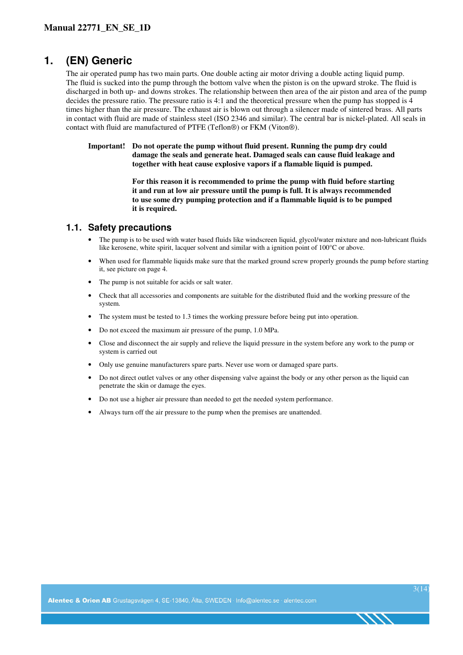# **1. (EN) Generic**

The air operated pump has two main parts. One double acting air motor driving a double acting liquid pump. The fluid is sucked into the pump through the bottom valve when the piston is on the upward stroke. The fluid is discharged in both up- and downs strokes. The relationship between then area of the air piston and area of the pump decides the pressure ratio. The pressure ratio is 4:1 and the theoretical pressure when the pump has stopped is 4 times higher than the air pressure. The exhaust air is blown out through a silencer made of sintered brass. All parts in contact with fluid are made of stainless steel (ISO 2346 and similar). The central bar is nickel-plated. All seals in contact with fluid are manufactured of PTFE (Teflon®) or FKM (Viton®).

**Important! Do not operate the pump without fluid present. Running the pump dry could damage the seals and generate heat. Damaged seals can cause fluid leakage and together with heat cause explosive vapors if a flamable liquid is pumped.** 

> **For this reason it is recommended to prime the pump with fluid before starting it and run at low air pressure until the pump is full. It is always recommended to use some dry pumping protection and if a flammable liquid is to be pumped it is required.**

#### **1.1. Safety precautions**

- The pump is to be used with water based fluids like windscreen liquid, glycol/water mixture and non-lubricant fluids like kerosene, white spirit, lacquer solvent and similar with a ignition point of 100°C or above.
- When used for flammable liquids make sure that the marked ground screw properly grounds the pump before starting it, see picture on page 4.
- The pump is not suitable for acids or salt water.
- Check that all accessories and components are suitable for the distributed fluid and the working pressure of the system.
- The system must be tested to 1.3 times the working pressure before being put into operation.
- Do not exceed the maximum air pressure of the pump, 1.0 MPa.
- Close and disconnect the air supply and relieve the liquid pressure in the system before any work to the pump or system is carried out
- Only use genuine manufacturers spare parts. Never use worn or damaged spare parts.
- Do not direct outlet valves or any other dispensing valve against the body or any other person as the liquid can penetrate the skin or damage the eyes.
- Do not use a higher air pressure than needed to get the needed system performance.
- Always turn off the air pressure to the pump when the premises are unattended.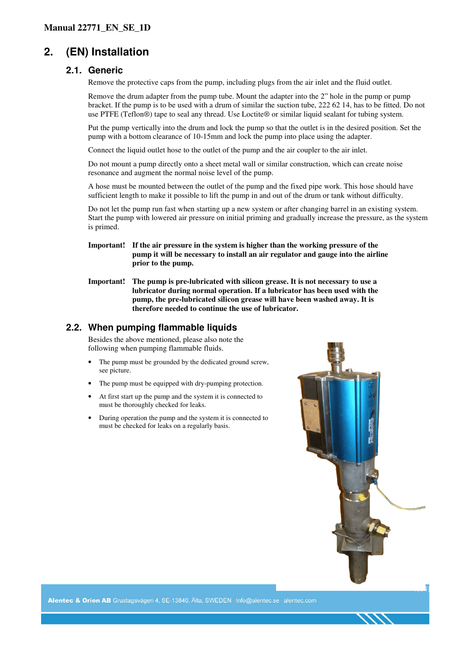# **2. (EN) Installation**

### **2.1. Generic**

Remove the protective caps from the pump, including plugs from the air inlet and the fluid outlet.

Remove the drum adapter from the pump tube. Mount the adapter into the 2" hole in the pump or pump bracket. If the pump is to be used with a drum of similar the suction tube, 222 62 14, has to be fitted. Do not use PTFE (Teflon®) tape to seal any thread. Use Loctite® or similar liquid sealant for tubing system.

Put the pump vertically into the drum and lock the pump so that the outlet is in the desired position. Set the pump with a bottom clearance of 10-15mm and lock the pump into place using the adapter.

Connect the liquid outlet hose to the outlet of the pump and the air coupler to the air inlet.

Do not mount a pump directly onto a sheet metal wall or similar construction, which can create noise resonance and augment the normal noise level of the pump.

A hose must be mounted between the outlet of the pump and the fixed pipe work. This hose should have sufficient length to make it possible to lift the pump in and out of the drum or tank without difficulty.

Do not let the pump run fast when starting up a new system or after changing barrel in an existing system. Start the pump with lowered air pressure on initial priming and gradually increase the pressure, as the system is primed.

- **Important! If the air pressure in the system is higher than the working pressure of the pump it will be necessary to install an air regulator and gauge into the airline prior to the pump.**
- **Important! The pump is pre-lubricated with silicon grease. It is not necessary to use a lubricator during normal operation. If a lubricator has been used with the pump, the pre-lubricated silicon grease will have been washed away. It is therefore needed to continue the use of lubricator.**

### **2.2. When pumping flammable liquids**

Besides the above mentioned, please also note the following when pumping flammable fluids.

- The pump must be grounded by the dedicated ground screw, see picture.
- The pump must be equipped with dry-pumping protection.
- At first start up the pump and the system it is connected to must be thoroughly checked for leaks.
- During operation the pump and the system it is connected to must be checked for leaks on a regularly basis.



Alentec & Orlon AB Grustagsvägen 4, SE-13840, Älta, SWEDEN · Info@alentec.se · alentec.com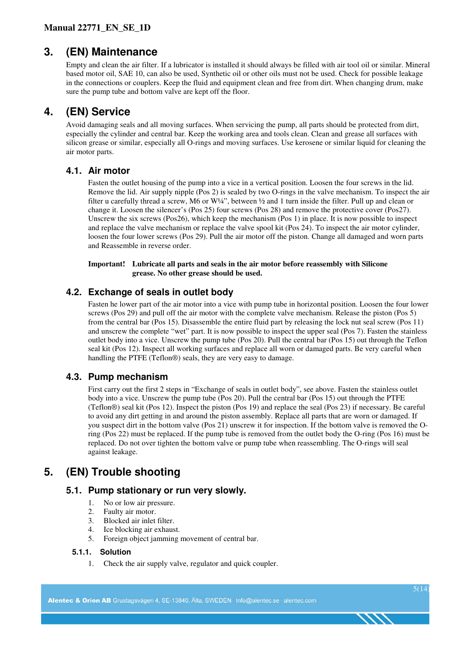# **3. (EN) Maintenance**

Empty and clean the air filter. If a lubricator is installed it should always be filled with air tool oil or similar. Mineral based motor oil, SAE 10, can also be used, Synthetic oil or other oils must not be used. Check for possible leakage in the connections or couplers. Keep the fluid and equipment clean and free from dirt. When changing drum, make sure the pump tube and bottom valve are kept off the floor.

# **4. (EN) Service**

Avoid damaging seals and all moving surfaces. When servicing the pump, all parts should be protected from dirt, especially the cylinder and central bar. Keep the working area and tools clean. Clean and grease all surfaces with silicon grease or similar, especially all O-rings and moving surfaces. Use kerosene or similar liquid for cleaning the air motor parts.

## **4.1. Air motor**

Fasten the outlet housing of the pump into a vice in a vertical position. Loosen the four screws in the lid. Remove the lid. Air supply nipple (Pos 2) is sealed by two O-rings in the valve mechanism. To inspect the air filter u carefully thread a screw, M6 or W¼", between ½ and 1 turn inside the filter. Pull up and clean or change it. Loosen the silencer's (Pos 25) four screws (Pos 28) and remove the protective cover (Pos27). Unscrew the six screws (Pos26), which keep the mechanism (Pos 1) in place. It is now possible to inspect and replace the valve mechanism or replace the valve spool kit (Pos 24). To inspect the air motor cylinder, loosen the four lower screws (Pos 29). Pull the air motor off the piston. Change all damaged and worn parts and Reassemble in reverse order.

**Important! Lubricate all parts and seals in the air motor before reassembly with Silicone grease. No other grease should be used.** 

# **4.2. Exchange of seals in outlet body**

Fasten he lower part of the air motor into a vice with pump tube in horizontal position. Loosen the four lower screws (Pos 29) and pull off the air motor with the complete valve mechanism. Release the piston (Pos 5) from the central bar (Pos 15). Disassemble the entire fluid part by releasing the lock nut seal screw (Pos 11) and unscrew the complete "wet" part. It is now possible to inspect the upper seal (Pos 7). Fasten the stainless outlet body into a vice. Unscrew the pump tube (Pos 20). Pull the central bar (Pos 15) out through the Teflon seal kit (Pos 12). Inspect all working surfaces and replace all worn or damaged parts. Be very careful when handling the PTFE (Teflon®) seals, they are very easy to damage.

## **4.3. Pump mechanism**

First carry out the first 2 steps in "Exchange of seals in outlet body", see above. Fasten the stainless outlet body into a vice. Unscrew the pump tube (Pos 20). Pull the central bar (Pos 15) out through the PTFE (Teflon®) seal kit (Pos 12). Inspect the piston (Pos 19) and replace the seal (Pos 23) if necessary. Be careful to avoid any dirt getting in and around the piston assembly. Replace all parts that are worn or damaged. If you suspect dirt in the bottom valve (Pos 21) unscrew it for inspection. If the bottom valve is removed the Oring (Pos 22) must be replaced. If the pump tube is removed from the outlet body the O-ring (Pos 16) must be replaced. Do not over tighten the bottom valve or pump tube when reassembling. The O-rings will seal against leakage.

# **5. (EN) Trouble shooting**

### **5.1. Pump stationary or run very slowly.**

- 1. No or low air pressure.
- 2. Faulty air motor.
- 3. Blocked air inlet filter.
- 4. Ice blocking air exhaust.
- 5. Foreign object jamming movement of central bar.

#### **5.1.1. Solution**

1. Check the air supply valve, regulator and quick coupler.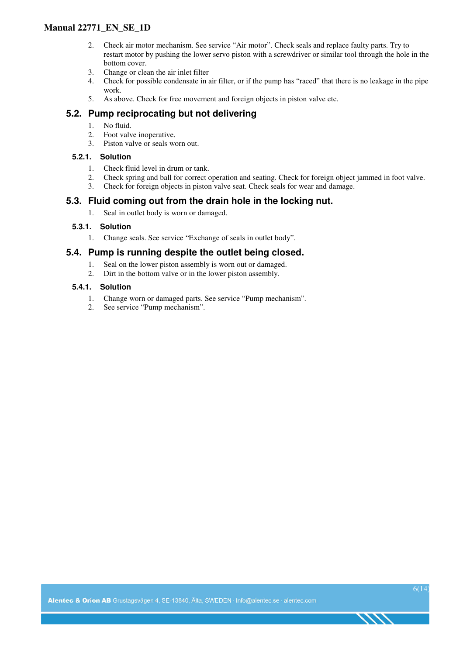### **Manual 22771\_EN\_SE\_1D**

- 2. Check air motor mechanism. See service "Air motor". Check seals and replace faulty parts. Try to restart motor by pushing the lower servo piston with a screwdriver or similar tool through the hole in the bottom cover.
- 3. Change or clean the air inlet filter
- 4. Check for possible condensate in air filter, or if the pump has "raced" that there is no leakage in the pipe work.
- 5. As above. Check for free movement and foreign objects in piston valve etc.

### **5.2. Pump reciprocating but not delivering**

- 1. No fluid.
- 2. Foot valve inoperative.
- 3. Piston valve or seals worn out.

#### **5.2.1. Solution**

- 1. Check fluid level in drum or tank.
- 2. Check spring and ball for correct operation and seating. Check for foreign object jammed in foot valve.
- 3. Check for foreign objects in piston valve seat. Check seals for wear and damage.

### **5.3. Fluid coming out from the drain hole in the locking nut.**

1. Seal in outlet body is worn or damaged.

#### **5.3.1. Solution**

1. Change seals. See service "Exchange of seals in outlet body".

### **5.4. Pump is running despite the outlet being closed.**

- 1. Seal on the lower piston assembly is worn out or damaged.
- 2. Dirt in the bottom valve or in the lower piston assembly.

#### **5.4.1. Solution**

- 1. Change worn or damaged parts. See service "Pump mechanism".
- 2. See service "Pump mechanism".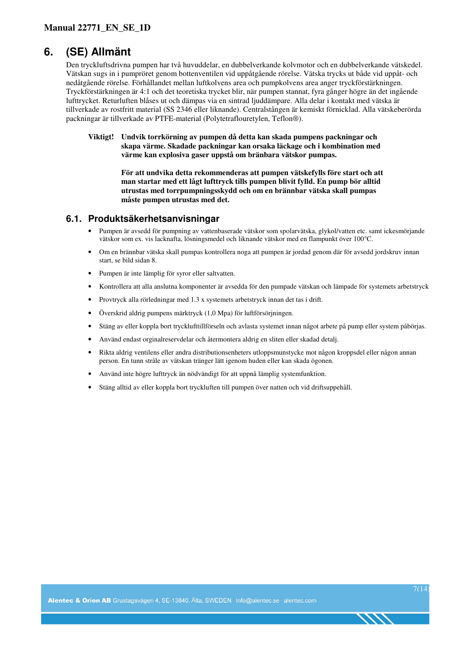# **6. (SE) Allmänt**

Den tryckluftsdrivna pumpen har två huvuddelar, en dubbelverkande kolvmotor och en dubbelverkande vätskedel. Vätskan sugs in i pumpröret genom bottenventilen vid uppåtgående rörelse. Vätska trycks ut både vid uppåt- och nedåtgående rörelse. Förhållandet mellan luftkolvens area och pumpkolvens area anger tryckförstärkningen. Tryckförstärkningen är 4:1 och det teoretiska trycket blir, när pumpen stannat, fyra gånger högre än det ingående lufttrycket. Returluften blåses ut och dämpas via en sintrad ljuddämpare. Alla delar i kontakt med vätska är tillverkade av rostfritt material (SS 2346 eller liknande). Centralstången är kemiskt förnicklad. Alla vätskeberörda packningar är tillverkade av PTFE-material (Polytetraflouretylen, Teflon®).

**Viktigt! Undvik torrkörning av pumpen då detta kan skada pumpens packningar och skapa värme. Skadade packningar kan orsaka läckage och i kombination med värme kan explosiva gaser uppstå om bränbara vätskor pumpas.** 

> **För att undvika detta rekommenderas att pumpen vätskefylls före start och att man startar med ett lågt lufttryck tills pumpen blivit fylld. En pump bör alltid utrustas med torrpumpningsskydd och om en brännbar vätska skall pumpas måste pumpen utrustas med det.**

#### **6.1. Produktsäkerhetsanvisningar**

- Pumpen är avsedd för pumpning av vattenbaserade vätskor som spolarvätska, glykol/vatten etc. samt ickesmörjande vätskor som ex. vis lacknafta, lösningsmedel och liknande vätskor med en flampunkt över 100°C.
- Om en brännbar vätska skall pumpas kontrollera noga att pumpen är jordad genom där för avsedd jordskruv innan start, se bild sidan 8.
- Pumpen är inte lämplig för syror eller saltvatten.
- Kontrollera att alla anslutna komponenter är avsedda för den pumpade vätskan och lämpade för systemets arbetstryck
- Provtryck alla rörledningar med 1.3 x systemets arbetstryck innan det tas i drift.
- Överskrid aldrig pumpens märktryck (1,0 Mpa) för luftförsörjningen.
- Stäng av eller koppla bort trycklufttillförseln och avlasta systemet innan något arbete på pump eller system påbörjas.
- Använd endast orginalreservdelar och återmontera aldrig en sliten eller skadad detalj.
- Rikta aldrig ventilens eller andra distributionsenheters utloppsmunstycke mot någon kroppsdel eller någon annan person. En tunn stråle av vätskan tränger lätt igenom huden eller kan skada ögonen.
- Använd inte högre lufttryck än nödvändigt för att uppnå lämplig systemfunktion.
- Stäng alltid av eller koppla bort tryckluften till pumpen över natten och vid driftsuppehåll.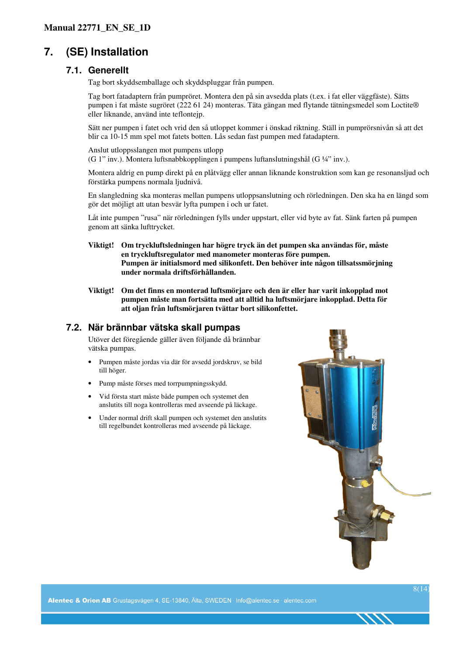# **7. (SE) Installation**

#### **7.1. Generellt**

Tag bort skyddsemballage och skyddspluggar från pumpen.

Tag bort fatadaptern från pumpröret. Montera den på sin avsedda plats (t.ex. i fat eller väggfäste). Sätts pumpen i fat måste sugröret (222 61 24) monteras. Täta gängan med flytande tätningsmedel som Loctite® eller liknande, använd inte teflontejp.

Sätt ner pumpen i fatet och vrid den så utloppet kommer i önskad riktning. Ställ in pumprörsnivån så att det blir ca 10-15 mm spel mot fatets botten. Lås sedan fast pumpen med fatadaptern.

Anslut utloppsslangen mot pumpens utlopp

(G 1" inv.). Montera luftsnabbkopplingen i pumpens luftanslutningshål (G ¼" inv.).

Montera aldrig en pump direkt på en plåtvägg eller annan liknande konstruktion som kan ge resonansljud och förstärka pumpens normala ljudnivå.

En slangledning ska monteras mellan pumpens utloppsanslutning och rörledningen. Den ska ha en längd som gör det möjligt att utan besvär lyfta pumpen i och ur fatet.

Låt inte pumpen "rusa" när rörledningen fylls under uppstart, eller vid byte av fat. Sänk farten på pumpen genom att sänka lufttrycket.

- **Viktigt! Om tryckluftsledningen har högre tryck än det pumpen ska användas för, måste en tryckluftsregulator med manometer monteras före pumpen. Pumpen är initialsmord med silikonfett. Den behöver inte någon tillsatssmörjning under normala driftsförhållanden.**
- **Viktigt! Om det finns en monterad luftsmörjare och den är eller har varit inkopplad mot pumpen måste man fortsätta med att alltid ha luftsmörjare inkopplad. Detta för att oljan från luftsmörjaren tvättar bort silikonfettet.**

### **7.2. När brännbar vätska skall pumpas**

Utöver det föregående gäller även följande då brännbar vätska pumpas.

- Pumpen måste jordas via där för avsedd jordskruv, se bild till höger.
- Pump måste förses med torrpumpningsskydd.
- Vid första start måste både pumpen och systemet den anslutits till noga kontrolleras med avseende på läckage.
- Under normal drift skall pumpen och systemet den anslutits till regelbundet kontrolleras med avseende på läckage.

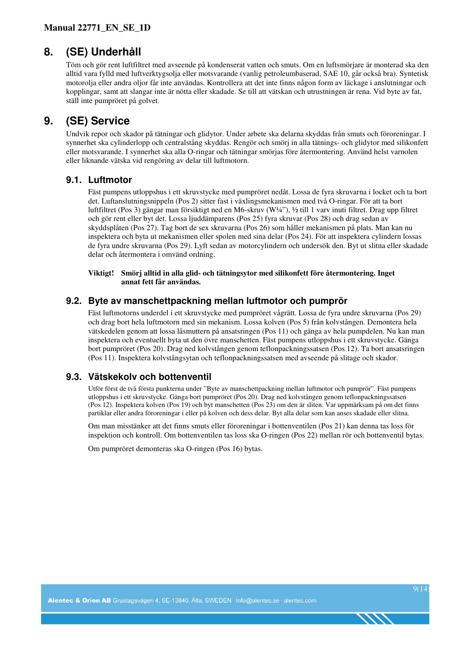# **8. (SE) Underhåll**

Töm och gör rent luftfiltret med avseende på kondenserat vatten och smuts. Om en luftsmörjare är monterad ska den alltid vara fylld med luftverktygsolja eller motsvarande (vanlig petroleumbaserad, SAE 10, går också bra). Syntetisk motorolja eller andra oljor får inte användas. Kontrollera att det inte finns någon form av läckage i anslutningar och kopplingar, samt att slangar inte är nötta eller skadade. Se till att vätskan och utrustningen är rena. Vid byte av fat, ställ inte pumpröret på golvet.

# **9. (SE) Service**

Undvik repor och skador på tätningar och glidytor. Under arbete ska delarna skyddas från smuts och föroreningar. I synnerhet ska cylinderlopp och centralstång skyddas. Rengör och smörj in alla tätnings- och glidytor med silikonfett eller motsvarande. I synnerhet ska alla O-ringar och tätningar smörjas före återmontering. Använd helst varnolen eller liknande vätska vid rengöring av delar till luftmotorn.

### **9.1. Luftmotor**

Fäst pumpens utloppshus i ett skruvstycke med pumpröret nedåt. Lossa de fyra skruvarna i locket och ta bort det. Luftanslutningsnippeln (Pos 2) sitter fast i växlingsmekanismen med två O-ringar. För att ta bort luftfiltret (Pos 3) gängar man försiktigt ned en M6-skruv (W¼"), ½ till 1 varv inuti filtret. Drag upp filtret och gör rent eller byt det. Lossa ljuddämparens (Pos 25) fyra skruvar (Pos 28) och drag sedan av skyddsplåten (Pos 27). Tag bort de sex skruvarna (Pos 26) som håller mekanismen på plats. Man kan nu inspektera och byta ut mekanismen eller spolen med sina delar (Pos 24). För att inspektera cylindern lossas de fyra undre skruvarna (Pos 29). Lyft sedan av motorcylindern och undersök den. Byt ut slitna eller skadade delar och återmontera i omvänd ordning.

#### **Viktigt! Smörj alltid in alla glid- och tätningsytor med silikonfett före återmontering. Inget annat fett får användas.**

### **9.2. Byte av manschettpackning mellan luftmotor och pumprör**

Fäst luftmotorns underdel i ett skruvstycke med pumpröret vågrätt. Lossa de fyra undre skruvarna (Pos 29) och drag bort hela luftmotorn med sin mekanism. Lossa kolven (Pos 5) från kolvstången. Demontera hela vätskedelen genom att lossa låsmuttern på ansatsringen (Pos 11) och gänga av hela pumpdelen. Nu kan man inspektera och eventuellt byta ut den övre manschetten. Fäst pumpens utloppshus i ett skruvstycke. Gänga bort pumpröret (Pos 20). Drag ned kolvstången genom teflonpackningssatsen (Pos 12). Ta bort ansatsringen (Pos 11). Inspektera kolvstångsytan och teflonpackningssatsen med avseende på slitage och skador.

## **9.3. Vätskekolv och bottenventil**

Utför först de två första punkterna under "Byte av manschettpackning mellan luftmotor och pumprör". Fäst pumpens utloppshus i ett skruvstycke. Gänga bort pumpröret (Pos 20). Drag ned kolvstången genom teflonpackningssatsen (Pos 12). Inspektera kolven (Pos 19) och byt manschetten (Pos 23) om den är sliten. Var uppmärksam på om det finns partiklar eller andra föroreningar i eller på kolven och dess delar. Byt alla delar som kan anses skadade eller slitna.

Om man misstänker att det finns smuts eller föroreningar i bottenventilen (Pos 21) kan denna tas loss för inspektion och kontroll. Om bottenventilen tas loss ska O-ringen (Pos 22) mellan rör och bottenventil bytas.

Om pumpröret demonteras ska O-ringen (Pos 16) bytas.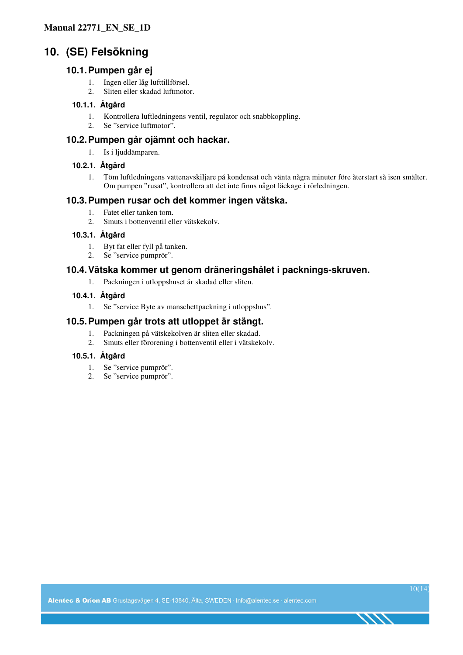# **10. (SE) Felsökning**

#### **10.1. Pumpen går ej**

- 1. Ingen eller låg lufttillförsel.
- 2. Sliten eller skadad luftmotor.

#### **10.1.1. Åtgärd**

- 1. Kontrollera luftledningens ventil, regulator och snabbkoppling.
- 2. Se "service luftmotor".

### **10.2. Pumpen går ojämnt och hackar.**

1. Is i ljuddämparen.

#### **10.2.1. Åtgärd**

1. Töm luftledningens vattenavskiljare på kondensat och vänta några minuter före återstart så isen smälter. Om pumpen "rusat", kontrollera att det inte finns något läckage i rörledningen.

### **10.3. Pumpen rusar och det kommer ingen vätska.**

- 1. Fatet eller tanken tom.
- 2. Smuts i bottenventil eller vätskekolv.

#### **10.3.1. Åtgärd**

- 1. Byt fat eller fyll på tanken.
- 2. Se "service pumprör".

### **10.4. Vätska kommer ut genom dräneringshålet i packnings-skruven.**

1. Packningen i utloppshuset är skadad eller sliten.

#### **10.4.1. Åtgärd**

1. Se "service Byte av manschettpackning i utloppshus".

### **10.5. Pumpen går trots att utloppet är stängt.**

- 1. Packningen på vätskekolven är sliten eller skadad.
- 2. Smuts eller förorening i bottenventil eller i vätskekolv.

#### **10.5.1. Åtgärd**

- 1. Se "service pumprör".
- 2. Se "service pumprör".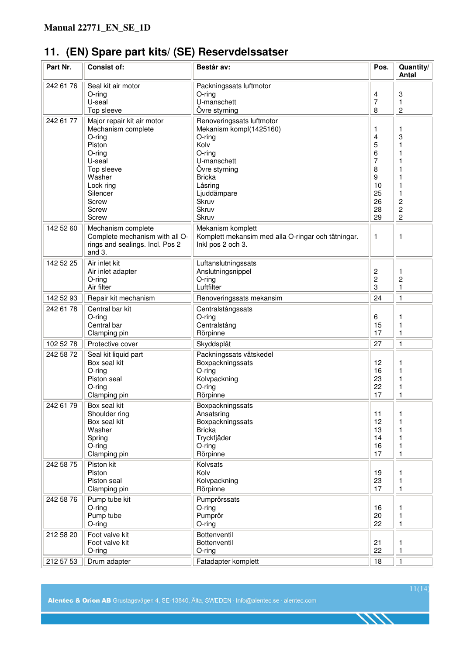# **11. (EN) Spare part kits/ (SE) Reservdelssatser**

| Part Nr.  | <b>Consist of:</b>                                                                                                                                                      | Består av:                                                                                                                                                                             | Pos.                                                          | Quantity/<br><b>Antal</b>                                      |
|-----------|-------------------------------------------------------------------------------------------------------------------------------------------------------------------------|----------------------------------------------------------------------------------------------------------------------------------------------------------------------------------------|---------------------------------------------------------------|----------------------------------------------------------------|
| 242 61 76 | Seal kit air motor<br>$O$ -ring<br>U-seal<br>Top sleeve                                                                                                                 | Packningssats luftmotor<br>O-ring<br>U-manschett<br>Övre styrning                                                                                                                      | 4<br>7<br>8                                                   | 3<br>1<br>$\overline{c}$                                       |
| 242 61 77 | Major repair kit air motor<br>Mechanism complete<br>$O$ -ring<br>Piston<br>O-ring<br>U-seal<br>Top sleeve<br>Washer<br>Lock ring<br>Silencer<br>Screw<br>Screw<br>Screw | Renoveringssats luftmotor<br>Mekanism kompl(1425160)<br>O-ring<br>Kolv<br>O-ring<br>U-manschett<br>Övre styrning<br><b>Bricka</b><br>Låsring<br>Ljuddämpare<br>Skruv<br>Skruv<br>Skruv | 1<br>4<br>5<br>6<br>7<br>8<br>9<br>10<br>25<br>26<br>28<br>29 | 1<br>3<br>1<br>1<br>1<br>2<br>$\overline{c}$<br>$\overline{c}$ |
| 142 52 60 | Mechanism complete<br>Complete mechanism with all O-<br>rings and sealings. Incl. Pos 2<br>and 3.                                                                       | Mekanism komplett<br>Komplett mekansim med alla O-ringar och tätningar.<br>Inkl pos 2 och 3.                                                                                           | $\mathbf{1}$                                                  | 1                                                              |
| 142 52 25 | Air inlet kit<br>Air inlet adapter<br>O-ring<br>Air filter                                                                                                              | Luftanslutningssats<br>Anslutningsnippel<br>O-ring<br>Luftfilter                                                                                                                       | 2<br>$\overline{c}$<br>3                                      | 1<br>$\overline{\mathbf{c}}$<br>1                              |
| 142 52 93 | Repair kit mechanism                                                                                                                                                    | Renoveringssats mekansim                                                                                                                                                               | 24                                                            | $\mathbf{1}$                                                   |
| 242 61 78 | Central bar kit<br>O-ring<br>Central bar<br>Clamping pin                                                                                                                | Centralstångssats<br>O-ring<br>Centralstång<br>Rörpinne                                                                                                                                | 6<br>15<br>17                                                 | 1<br>1<br>1                                                    |
| 102 52 78 | Protective cover                                                                                                                                                        | Skyddsplåt                                                                                                                                                                             | 27                                                            | 1                                                              |
| 242 58 72 | Seal kit liquid part<br>Box seal kit<br>$O$ -ring<br>Piston seal<br>$O$ -ring<br>Clamping pin                                                                           | Packningssats vätskedel<br>Boxpackningssats<br>$O$ -ring<br>Kolvpackning<br>O-ring<br>Rörpinne                                                                                         | 12<br>16<br>23<br>22<br>17                                    | 1<br>1<br>1<br>1<br>1                                          |
| 242 61 79 | Box seal kit<br>Shoulder ring<br>Box seal kit<br>Washer<br>Spring<br>O-ring<br>Clamping pin                                                                             | Boxpackningssats<br>Ansatsring<br>Boxpackningssats<br><b>Bricka</b><br>Tryckfjäder<br>O-ring<br>Rörpinne                                                                               | 11<br>12<br>13<br>14<br>16<br>17                              | 1<br>1<br>1<br>1<br>1<br>1                                     |
| 242 58 75 | Piston kit<br>Piston<br>Piston seal<br>Clamping pin                                                                                                                     | Kolvsats<br>Kolv<br>Kolvpackning<br>Rörpinne                                                                                                                                           | 19<br>23<br>17                                                | 1<br>1<br>$\mathbf{1}$                                         |
| 242 58 76 | Pump tube kit<br>$O$ -ring<br>Pump tube<br>O-ring                                                                                                                       | Pumprörssats<br>O-ring<br>Pumprör<br>O-ring                                                                                                                                            | 16<br>20<br>22                                                | 1<br>1<br>1                                                    |
| 212 58 20 | Foot valve kit<br>Foot valve kit<br>O-ring                                                                                                                              | Bottenventil<br>Bottenventil<br>O-ring                                                                                                                                                 | 21<br>22                                                      | 1<br>$\mathbf{1}$                                              |
| 212 57 53 | Drum adapter                                                                                                                                                            | Fatadapter komplett                                                                                                                                                                    | 18                                                            | $\mathbf{1}$                                                   |

11(14)

ヘノヘ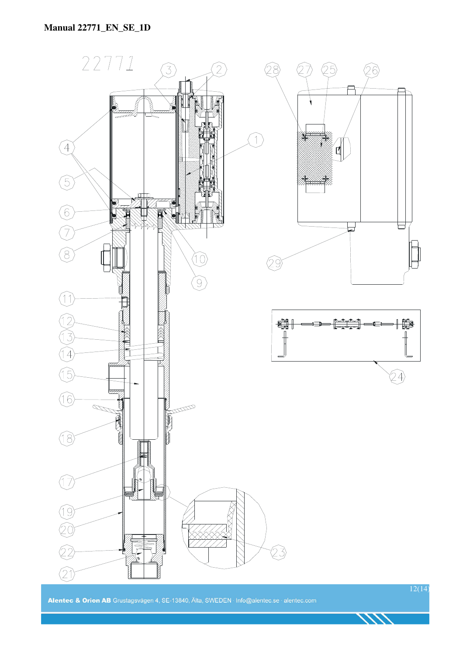

Alentec & Orion AB Grustagsvägen 4, SE-13840, Älta, SWEDEN · Info@alentec.se · alentec.com

12(14)

1111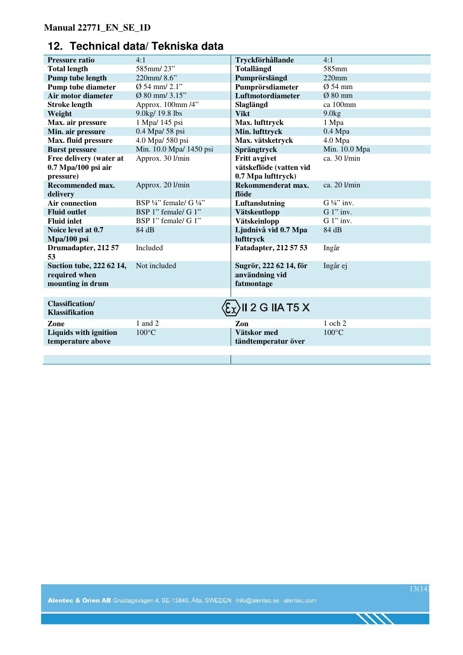# **12. Technical data/ Tekniska data**

| <b>Pressure ratio</b>                                         | 4:1                                           | Tryckförhållande                                       | 4:1                   |
|---------------------------------------------------------------|-----------------------------------------------|--------------------------------------------------------|-----------------------|
| <b>Total length</b>                                           | 585mm/23"                                     | <b>Totallängd</b>                                      | 585mm                 |
| Pump tube length                                              | 220mm/8.6"                                    | Pumprörslängd                                          | $220$ mm              |
| <b>Pump tube diameter</b>                                     | $\emptyset$ 54 mm/ 2.1"                       | Pumprörsdiameter                                       | $Ø$ 54 mm             |
| Air motor diameter                                            | $Ø$ 80 mm/ 3.15"                              | Luftmotordiameter                                      | $Ø$ 80 mm             |
| <b>Stroke length</b>                                          | Approx. 100mm /4"                             | Slaglängd                                              | ca 100mm              |
| Weight                                                        | 9.0kg/ 19.8 lbs                               | <b>Vikt</b>                                            | 9.0kg                 |
| Max. air pressure                                             | 1 Mpa/ 145 psi                                | Max. lufttryck                                         | 1 Mpa                 |
| Min. air pressure                                             | 0.4 Mpa/ 58 psi                               | Min. lufttryck                                         | $0.4$ Mpa             |
| Max. fluid pressure                                           | 4.0 Mpa/ 580 psi                              | Max. vätsketryck                                       | 4.0 Mpa               |
| <b>Burst pressure</b>                                         | Min. 10.0 Mpa/ 1450 psi                       | Sprängtryck                                            | Min. 10.0 Mpa         |
| Free delivery (water at                                       | Approx. 30 l/min                              | <b>Fritt avgivet</b>                                   | ca. 30 l/min          |
| $0.7$ Mpa/100 psi air                                         |                                               | vätskeflöde (vatten vid                                |                       |
| pressure)                                                     |                                               | 0.7 Mpa lufttryck)                                     |                       |
| Recommended max.                                              | Approx. 20 l/min                              | Rekommenderat max.                                     | ca. 20 l/min          |
| delivery                                                      |                                               | flöde                                                  |                       |
| <b>Air connection</b>                                         | BSP $\frac{1}{4}$ " female/ G $\frac{1}{4}$ " | Luftanslutning                                         | $G\frac{1}{4}$ " inv. |
| <b>Fluid outlet</b>                                           | BSP 1" female/ G 1"                           | Vätskeutlopp                                           | $G 1$ " inv.          |
| <b>Fluid inlet</b>                                            | BSP 1" female/ G 1"                           | Vätskeinlopp                                           | $G 1$ " inv.          |
| Noice level at 0.7                                            | 84 dB                                         | Ljudnivå vid 0.7 Mpa                                   | 84 dB                 |
| Mpa/100 psi                                                   |                                               | lufttryck                                              |                       |
| Drumadapter, 212 57<br>53                                     | Included                                      | Fatadapter, 212 57 53                                  | Ingår                 |
| Suction tube, 222 62 14,<br>required when<br>mounting in drum | Not included                                  | Sugrör, 222 62 14, för<br>användning vid<br>fatmontage | Ingår ej              |
|                                                               |                                               |                                                        |                       |
| <b>Classification/</b><br><b>Klassifikation</b>               |                                               | II 2 G IIA T5 X                                        |                       |
| Zone                                                          | 1 and 2                                       | Zon                                                    | 1 och 2               |
| <b>Liquids with ignition</b>                                  | $100^{\circ}$ C                               | Vätskor med                                            | $100^{\circ}$ C       |
| temperature above                                             |                                               | tändtemperatur över                                    |                       |
|                                                               |                                               |                                                        |                       |
|                                                               |                                               |                                                        |                       |

1111